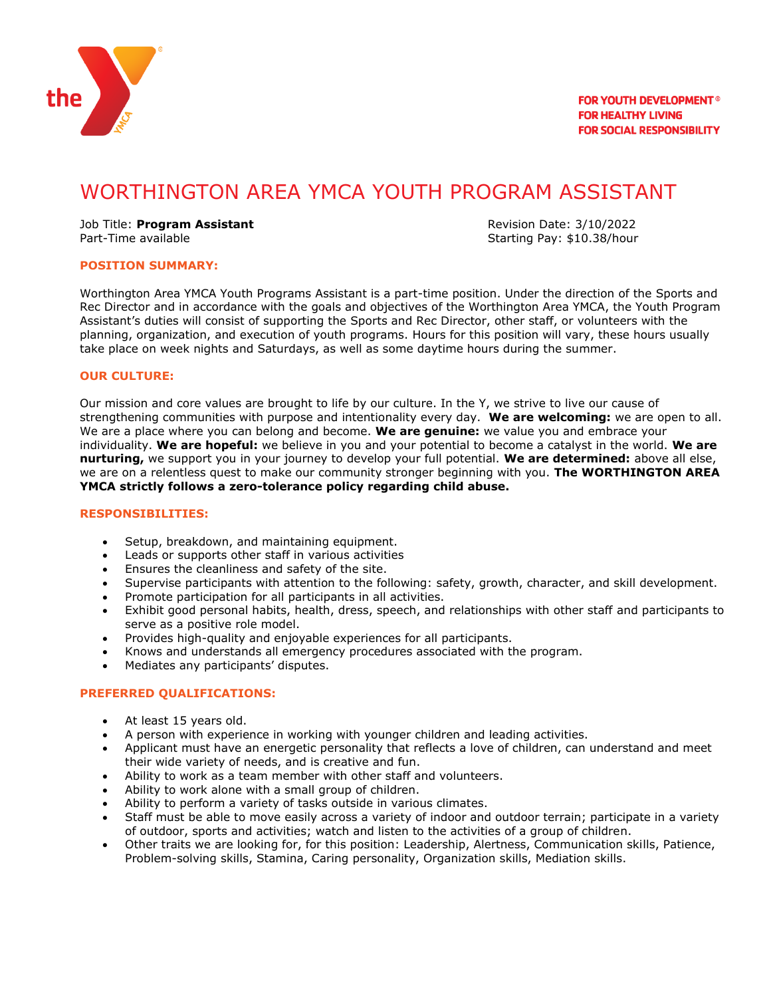

# WORTHINGTON AREA YMCA YOUTH PROGRAM ASSISTANT

Job Title: **Program Assistant** Revision Date: 3/10/2022 Part-Time available **Starting Pay: \$10.38/hour** 

#### **POSITION SUMMARY:**

Worthington Area YMCA Youth Programs Assistant is a part-time position. Under the direction of the Sports and Rec Director and in accordance with the goals and objectives of the Worthington Area YMCA, the Youth Program Assistant's duties will consist of supporting the Sports and Rec Director, other staff, or volunteers with the planning, organization, and execution of youth programs. Hours for this position will vary, these hours usually take place on week nights and Saturdays, as well as some daytime hours during the summer.

#### **OUR CULTURE:**

Our mission and core values are brought to life by our culture. In the Y, we strive to live our cause of strengthening communities with purpose and intentionality every day. **We are welcoming:** we are open to all. We are a place where you can belong and become. **We are genuine:** we value you and embrace your individuality. **We are hopeful:** we believe in you and your potential to become a catalyst in the world. **We are nurturing,** we support you in your journey to develop your full potential. **We are determined:** above all else, we are on a relentless quest to make our community stronger beginning with you. **The WORTHINGTON AREA YMCA strictly follows a zero-tolerance policy regarding child abuse.**

#### **RESPONSIBILITIES:**

- Setup, breakdown, and maintaining equipment.
- Leads or supports other staff in various activities
- Ensures the cleanliness and safety of the site.
- Supervise participants with attention to the following: safety, growth, character, and skill development.
- Promote participation for all participants in all activities.
- Exhibit good personal habits, health, dress, speech, and relationships with other staff and participants to serve as a positive role model.
- Provides high-quality and enjoyable experiences for all participants.
- Knows and understands all emergency procedures associated with the program.
- Mediates any participants' disputes.

### **PREFERRED QUALIFICATIONS:**

- At least 15 years old.
- A person with experience in working with younger children and leading activities.
- Applicant must have an energetic personality that reflects a love of children, can understand and meet their wide variety of needs, and is creative and fun.
- Ability to work as a team member with other staff and volunteers.
- Ability to work alone with a small group of children.
- Ability to perform a variety of tasks outside in various climates.
- Staff must be able to move easily across a variety of indoor and outdoor terrain; participate in a variety of outdoor, sports and activities; watch and listen to the activities of a group of children.
- Other traits we are looking for, for this position: Leadership, Alertness, Communication skills, Patience, Problem-solving skills, Stamina, Caring personality, Organization skills, Mediation skills.